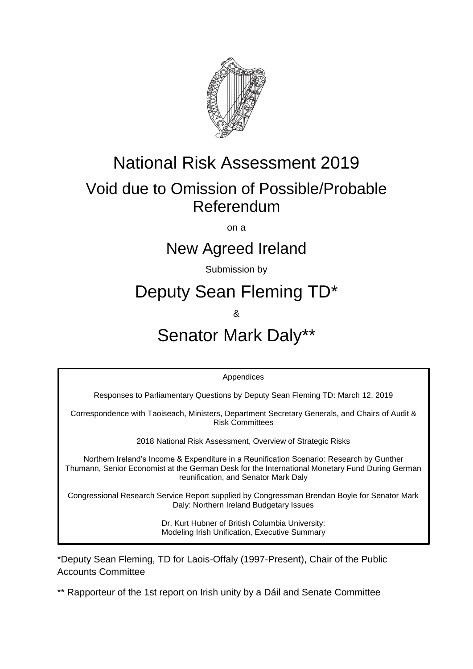

## National Risk Assessment 2019

## Void due to Omission of Possible/Probable Referendum

on a

### New Agreed Ireland

Submission by

# Deputy Sean Fleming TD\*

&

# Senator Mark Daly\*\*

Appendices

Responses to Parliamentary Questions by Deputy Sean Fleming TD: March 12, 2019

Correspondence with Taoiseach, Ministers, Department Secretary Generals, and Chairs of Audit & Risk Committees

2018 National Risk Assessment, Overview of Strategic Risks

Northern Ireland's Income & Expenditure in a Reunification Scenario: Research by Gunther Thumann, Senior Economist at the German Desk for the International Monetary Fund During German reunification, and Senator Mark Daly

Congressional Research Service Report supplied by Congressman Brendan Boyle for Senator Mark Daly: Northern Ireland Budgetary Issues

> Dr. Kurt Hubner of British Columbia University: Modeling Irish Unification, Executive Summary

\*Deputy Sean Fleming, TD for Laois-Offaly (1997-Present), Chair of the Public Accounts Committee

\*\* Rapporteur of the 1st report on Irish unity by a Dáil and Senate Committee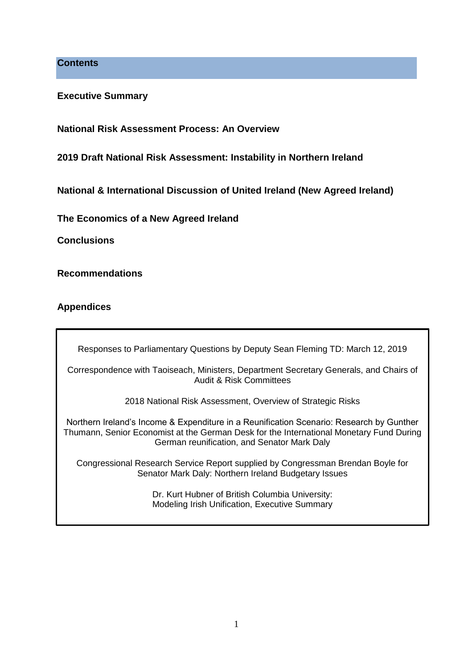**Contents**

**Executive Summary** 

**National Risk Assessment Process: An Overview** 

**2019 Draft National Risk Assessment: Instability in Northern Ireland** 

**National & International Discussion of United Ireland (New Agreed Ireland)**

**The Economics of a New Agreed Ireland**

**Conclusions** 

**Recommendations** 

### **Appendices**

Responses to Parliamentary Questions by Deputy Sean Fleming TD: March 12, 2019

Correspondence with Taoiseach, Ministers, Department Secretary Generals, and Chairs of Audit & Risk Committees

2018 National Risk Assessment, Overview of Strategic Risks

Northern Ireland's Income & Expenditure in a Reunification Scenario: Research by Gunther Thumann, Senior Economist at the German Desk for the International Monetary Fund During German reunification, and Senator Mark Daly

Congressional Research Service Report supplied by Congressman Brendan Boyle for Senator Mark Daly: Northern Ireland Budgetary Issues

> Dr. Kurt Hubner of British Columbia University: Modeling Irish Unification, Executive Summary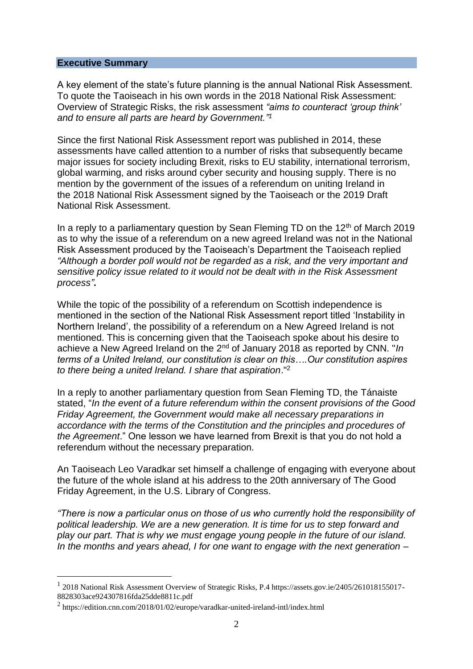#### **Executive Summary**

A key element of the state's future planning is the annual National Risk Assessment. To quote the Taoiseach in his own words in the 2018 National Risk Assessment: Overview of Strategic Risks, the risk assessment *"aims to counteract 'group think' and to ensure all parts are heard by Government." 1*

Since the first National Risk Assessment report was published in 2014, these assessments have called attention to a number of risks that subsequently became major issues for society including Brexit, risks to EU stability, international terrorism, global warming, and risks around cyber security and housing supply. There is no mention by the government of the issues of a referendum on uniting Ireland in the 2018 National Risk Assessment signed by the Taoiseach or the 2019 Draft National Risk Assessment.

In a reply to a parliamentary question by Sean Fleming TD on the  $12<sup>th</sup>$  of March 2019 as to why the issue of a referendum on a new agreed Ireland was not in the National Risk Assessment produced by the Taoiseach's Department the Taoiseach replied *"Although a border poll would not be regarded as a risk, and the very important and sensitive policy issue related to it would not be dealt with in the Risk Assessment process"***.**

While the topic of the possibility of a referendum on Scottish independence is mentioned in the section of the National Risk Assessment report titled 'Instability in Northern Ireland', the possibility of a referendum on a New Agreed Ireland is not mentioned. This is concerning given that the Taoiseach spoke about his desire to achieve a New Agreed Ireland on the 2nd of January 2018 as reported by CNN. "*In terms of a United Ireland, our constitution is clear on this….Our constitution aspires to there being a united Ireland. I share that aspiration*."<sup>2</sup>

In a reply to another parliamentary question from Sean Fleming TD, the Tánaiste stated, "*In the event of a future referendum within the consent provisions of the Good Friday Agreement, the Government would make all necessary preparations in accordance with the terms of the Constitution and the principles and procedures of the Agreement*." One lesson we have learned from Brexit is that you do not hold a referendum without the necessary preparation.

An Taoiseach Leo Varadkar set himself a challenge of engaging with everyone about the future of the whole island at his address to the 20th anniversary of The Good Friday Agreement, in the U.S. Library of Congress.

*"There is now a particular onus on those of us who currently hold the responsibility of political leadership. We are a new generation. It is time for us to step forward and play our part. That is why we must engage young people in the future of our island. In the months and years ahead, I for one want to engage with the next generation –*

<sup>&</sup>lt;sup>1</sup> 2018 National Risk Assessment Overview of Strategic Risks, P.4 https://assets.gov.ie/2405/261018155017-8828303ace924307816fda25dde8811c.pdf

<sup>&</sup>lt;sup>2</sup> https://edition.cnn.com/2018/01/02/europe/varadkar-united-ireland-intl/index.html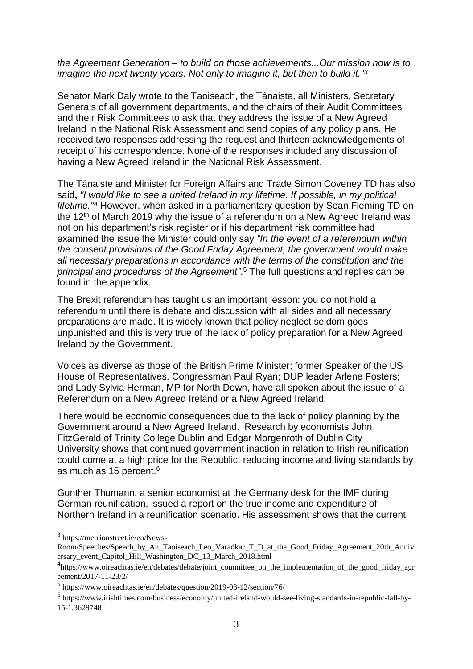#### *the Agreement Generation – to build on those achievements...Our mission now is to imagine the next twenty years. Not only to imagine it, but then to build it."<sup>3</sup>*

Senator Mark Daly wrote to the Taoiseach, the Tánaiste, all Ministers, Secretary Generals of all government departments, and the chairs of their Audit Committees and their Risk Committees to ask that they address the issue of a New Agreed Ireland in the National Risk Assessment and send copies of any policy plans. He received two responses addressing the request and thirteen acknowledgements of receipt of his correspondence. None of the responses included any discussion of having a New Agreed Ireland in the National Risk Assessment.

The Tánaiste and Minister for Foreign Affairs and Trade Simon Coveney TD has also said**,** *"I would like to see a united Ireland in my lifetime. If possible, in my political Iifetime."<sup>4</sup>* However, when asked in a parliamentary question by Sean Fleming TD on the  $12<sup>th</sup>$  of March 2019 why the issue of a referendum on a New Agreed Ireland was not on his department's risk register or if his department risk committee had examined the issue the Minister could only say *"In the event of a referendum within the consent provisions of the Good Friday Agreement, the government would make all necessary preparations in accordance with the terms of the constitution and the principal and procedures of the Agreement"*. <sup>5</sup> The full questions and replies can be found in the appendix.

The Brexit referendum has taught us an important lesson: you do not hold a referendum until there is debate and discussion with all sides and all necessary preparations are made. It is widely known that policy neglect seldom goes unpunished and this is very true of the lack of policy preparation for a New Agreed Ireland by the Government.

Voices as diverse as those of the British Prime Minister; former Speaker of the US House of Representatives, Congressman Paul Ryan; DUP leader Arlene Fosters; and Lady Sylvia Herman, MP for North Down, have all spoken about the issue of a Referendum on a New Agreed Ireland or a New Agreed Ireland.

There would be economic consequences due to the lack of policy planning by the Government around a New Agreed Ireland. Research by economists John FitzGerald of Trinity College Dublin and [Edgar Morgenroth](https://www.irishtimes.com/topics/topics-7.1213540?article=true&tag_person=Edgar+Morgenroth) of Dublin City University shows that continued government inaction in relation to Irish reunification could come at a high price for the Republic, reducing income and living standards by as much as 15 percent.<sup>6</sup>

Gunther Thumann, a senior economist at the Germany desk for the IMF during German reunification, issued a report on the true income and expenditure of Northern Ireland in a reunification scenario. His assessment shows that the current

1

<sup>3</sup> https://merrionstreet.ie/en/News-

Room/Speeches/Speech\_by\_An\_Taoiseach\_Leo\_Varadkar\_T\_D\_at\_the\_Good\_Friday\_Agreement\_20th\_Anniv ersary\_event\_Capitol\_Hill\_Washington\_DC\_13\_March\_2018.html

<sup>&</sup>lt;sup>4</sup>https://www.oireachtas.ie/en/debates/debate/joint\_committee\_on\_the\_implementation\_of\_the\_good\_friday\_agr eement/2017-11-23/2/

<sup>5</sup> https://www.oireachtas.ie/en/debates/question/2019-03-12/section/76/

<sup>6</sup> https://www.irishtimes.com/business/economy/united-ireland-would-see-living-standards-in-republic-fall-by-15-1.3629748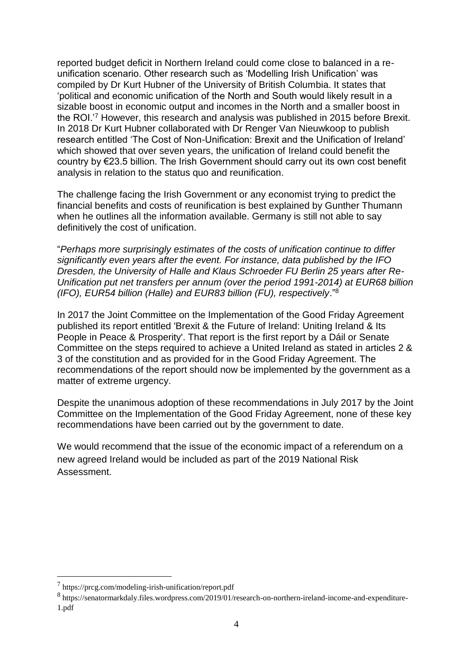reported budget deficit in Northern Ireland could come close to balanced in a reunification scenario. Other research such as 'Modelling Irish Unification' was compiled by Dr Kurt Hubner of the University of British Columbia. It states that 'political and economic unification of the North and South would likely result in a sizable boost in economic output and incomes in the North and a smaller boost in the ROI.'<sup>7</sup> However, this research and analysis was published in 2015 before Brexit. In 2018 Dr Kurt Hubner collaborated with Dr Renger Van Nieuwkoop to publish research entitled 'The Cost of Non-Unification: Brexit and the Unification of Ireland' which showed that over seven years, the unification of [Ireland](https://www.irishtimes.com/news) could benefit the country by €23.5 billion. The Irish Government should carry out its own cost benefit analysis in relation to the status quo and reunification.

The challenge facing the Irish Government or any economist trying to predict the financial benefits and costs of reunification is best explained by Gunther Thumann when he outlines all the information available. Germany is still not able to say definitively the cost of unification.

"*Perhaps more surprisingly estimates of the costs of unification continue to differ significantly even years after the event. For instance, data published by the IFO Dresden, the University of Halle and Klaus Schroeder FU Berlin 25 years after Re-Unification put net transfers per annum (over the period 1991-2014) at EUR68 billion (IFO), EUR54 billion (Halle) and EUR83 billion (FU), respectively*."<sup>8</sup>

In 2017 the Joint Committee on the Implementation of the Good Friday Agreement published its report entitled 'Brexit & the Future of Ireland: Uniting Ireland & Its People in Peace & Prosperity'. That report is the first report by a Dáil or Senate Committee on the steps required to achieve a United Ireland as stated in articles 2 & 3 of the constitution and as provided for in the Good Friday Agreement. The recommendations of the report should now be implemented by the government as a matter of extreme urgency.

Despite the unanimous adoption of these recommendations in July 2017 by the Joint Committee on the Implementation of the Good Friday Agreement, none of these key recommendations have been carried out by the government to date.

We would recommend that the issue of the economic impact of a referendum on a new agreed Ireland would be included as part of the 2019 National Risk Assessment.

<sup>7</sup> https://prcg.com/modeling-irish-unification/report.pdf

<sup>8</sup> https://senatormarkdaly.files.wordpress.com/2019/01/research-on-northern-ireland-income-and-expenditure-1.pdf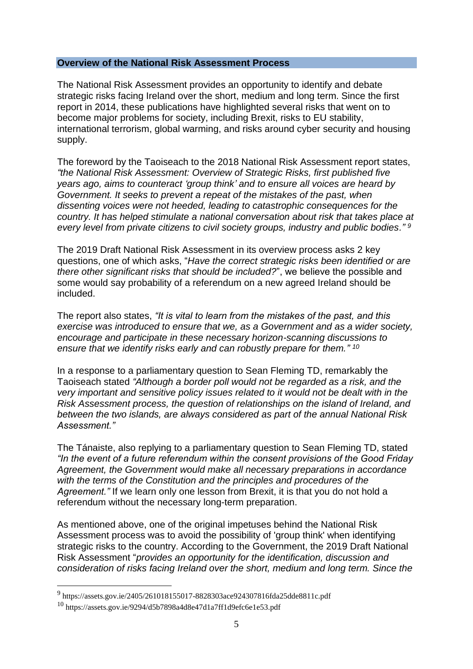#### **Overview of the National Risk Assessment Process**

The National Risk Assessment provides an opportunity to identify and debate strategic risks facing Ireland over the short, medium and long term. Since the first report in 2014, these publications have highlighted several risks that went on to become major problems for society, including Brexit, risks to EU stability, international terrorism, global warming, and risks around cyber security and housing supply.

The foreword by the Taoiseach to the 2018 National Risk Assessment report states, *"the National Risk Assessment: Overview of Strategic Risks, first published five years ago, aims to counteract 'group think' and to ensure all voices are heard by Government. It seeks to prevent a repeat of the mistakes of the past, when dissenting voices were not heeded, leading to catastrophic consequences for the country. It has helped stimulate a national conversation about risk that takes place at every level from private citizens to civil society groups, industry and public bodies." <sup>9</sup>*

The 2019 Draft National Risk Assessment in its overview process asks 2 key questions, one of which asks, "*Have the correct strategic risks been identified or are there other significant risks that should be included?*", we believe the possible and some would say probability of a referendum on a new agreed Ireland should be included.

The report also states, *"It is vital to learn from the mistakes of the past, and this exercise was introduced to ensure that we, as a Government and as a wider society, encourage and participate in these necessary horizon-scanning discussions to ensure that we identify risks early and can robustly prepare for them." <sup>10</sup>*

In a response to a parliamentary question to Sean Fleming TD, remarkably the Taoiseach stated *"Although a border poll would not be regarded as a risk, and the very important and sensitive policy issues related to it would not be dealt with in the Risk Assessment process, the question of relationships on the island of Ireland, and between the two islands, are always considered as part of the annual National Risk Assessment."*

The Tánaiste, also replying to a parliamentary question to Sean Fleming TD, stated *"In the event of a future referendum within the consent provisions of the Good Friday Agreement, the Government would make all necessary preparations in accordance with the terms of the Constitution and the principles and procedures of the Agreement."* If we learn only one lesson from Brexit, it is that you do not hold a referendum without the necessary long-term preparation.

As mentioned above, one of the original impetuses behind the National Risk Assessment process was to avoid the possibility of 'group think' when identifying strategic risks to the country. According to the Government, the 2019 Draft National Risk Assessment "*provides an opportunity for the identification, discussion and consideration of risks facing Ireland over the short, medium and long term. Since the* 

<sup>9</sup> https://assets.gov.ie/2405/261018155017-8828303ace924307816fda25dde8811c.pdf

<sup>10</sup> https://assets.gov.ie/9294/d5b7898a4d8e47d1a7ff1d9efc6e1e53.pdf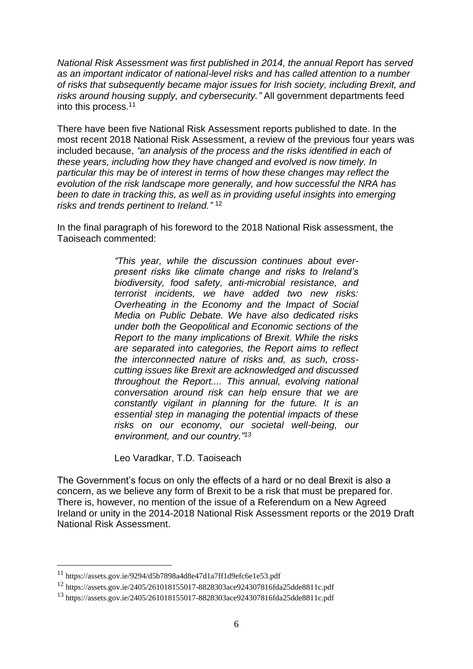*National Risk Assessment was first published in 2014, the annual Report has served as an important indicator of national-level risks and has called attention to a number of risks that subsequently became major issues for Irish society, including Brexit, and risks around housing supply, and cybersecurity."* All government departments feed into this process.<sup>11</sup>

There have been five National Risk Assessment reports published to date. In the most recent 2018 National Risk Assessment, a review of the previous four years was included because, *"an analysis of the process and the risks identified in each of these years, including how they have changed and evolved is now timely. In particular this may be of interest in terms of how these changes may reflect the evolution of the risk landscape more generally, and how successful the NRA has been to date in tracking this, as well as in providing useful insights into emerging risks and trends pertinent to Ireland."* 12

In the final paragraph of his foreword to the 2018 National Risk assessment, the Taoiseach commented:

> *"This year, while the discussion continues about everpresent risks like climate change and risks to Ireland's biodiversity, food safety, anti-microbial resistance, and terrorist incidents, we have added two new risks: Overheating in the Economy and the Impact of Social Media on Public Debate. We have also dedicated risks under both the Geopolitical and Economic sections of the Report to the many implications of Brexit. While the risks are separated into categories, the Report aims to reflect the interconnected nature of risks and, as such, crosscutting issues like Brexit are acknowledged and discussed throughout the Report.... This annual, evolving national conversation around risk can help ensure that we are constantly vigilant in planning for the future. It is an essential step in managing the potential impacts of these risks on our economy, our societal well-being, our environment, and our country."<sup>13</sup>*

Leo Varadkar, T.D. Taoiseach

The Government's focus on only the effects of a hard or no deal Brexit is also a concern, as we believe any form of Brexit to be a risk that must be prepared for. There is, however, no mention of the issue of a Referendum on a New Agreed Ireland or unity in the 2014-2018 National Risk Assessment reports or the 2019 Draft National Risk Assessment.

1

<sup>11</sup> https://assets.gov.ie/9294/d5b7898a4d8e47d1a7ff1d9efc6e1e53.pdf

<sup>12</sup> https://assets.gov.ie/2405/261018155017-8828303ace924307816fda25dde8811c.pdf

<sup>13</sup> https://assets.gov.ie/2405/261018155017-8828303ace924307816fda25dde8811c.pdf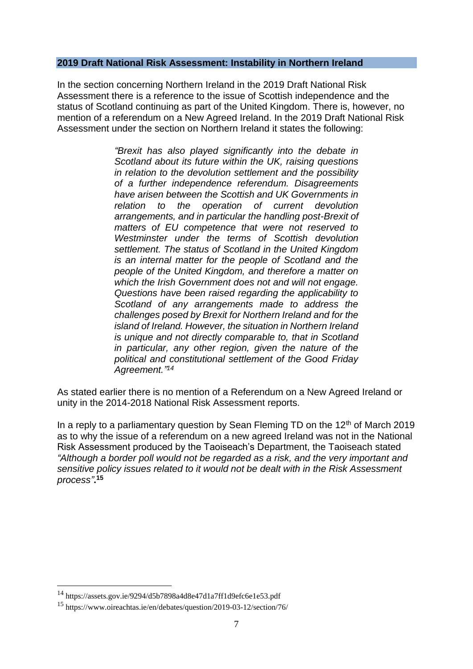#### **2019 Draft National Risk Assessment: Instability in Northern Ireland**

In the section concerning Northern Ireland in the 2019 Draft National Risk Assessment there is a reference to the issue of Scottish independence and the status of Scotland continuing as part of the United Kingdom. There is, however, no mention of a referendum on a New Agreed Ireland. In the 2019 Draft National Risk Assessment under the section on Northern Ireland it states the following:

> *"Brexit has also played significantly into the debate in Scotland about its future within the UK, raising questions in relation to the devolution settlement and the possibility of a further independence referendum. Disagreements have arisen between the Scottish and UK Governments in relation to the operation of current devolution arrangements, and in particular the handling post-Brexit of matters of EU competence that were not reserved to Westminster under the terms of Scottish devolution settlement. The status of Scotland in the United Kingdom is an internal matter for the people of Scotland and the people of the United Kingdom, and therefore a matter on which the Irish Government does not and will not engage. Questions have been raised regarding the applicability to Scotland of any arrangements made to address the challenges posed by Brexit for Northern Ireland and for the island of Ireland. However, the situation in Northern Ireland is unique and not directly comparable to, that in Scotland in particular, any other region, given the nature of the political and constitutional settlement of the Good Friday Agreement." 14*

As stated earlier there is no mention of a Referendum on a New Agreed Ireland or unity in the 2014-2018 National Risk Assessment reports.

In a reply to a parliamentary question by Sean Fleming TD on the  $12<sup>th</sup>$  of March 2019 as to why the issue of a referendum on a new agreed Ireland was not in the National Risk Assessment produced by the Taoiseach's Department, the Taoiseach stated *"Although a border poll would not be regarded as a risk, and the very important and sensitive policy issues related to it would not be dealt with in the Risk Assessment process"***. 15**

<sup>14</sup> https://assets.gov.ie/9294/d5b7898a4d8e47d1a7ff1d9efc6e1e53.pdf

<sup>15</sup> https://www.oireachtas.ie/en/debates/question/2019-03-12/section/76/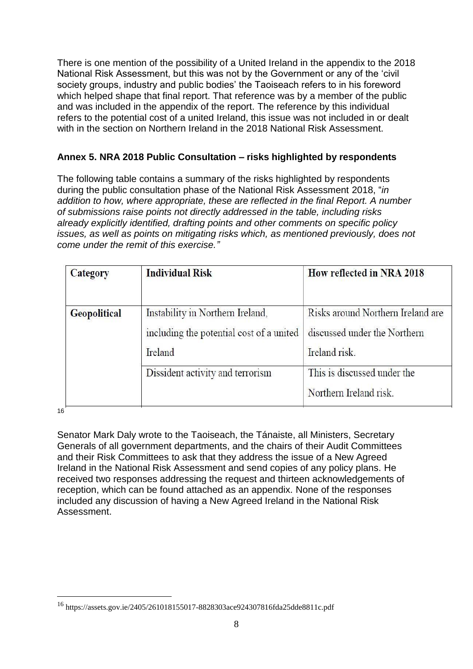There is one mention of the possibility of a United Ireland in the appendix to the 2018 National Risk Assessment, but this was not by the Government or any of the 'civil society groups, industry and public bodies' the Taoiseach refers to in his foreword which helped shape that final report. That reference was by a member of the public and was included in the appendix of the report. The reference by this individual refers to the potential cost of a united Ireland, this issue was not included in or dealt with in the section on Northern Ireland in the 2018 National Risk Assessment.

### **Annex 5. NRA 2018 Public Consultation – risks highlighted by respondents**

The following table contains a summary of the risks highlighted by respondents during the public consultation phase of the National Risk Assessment 2018, "*in addition to how, where appropriate, these are reflected in the final Report. A number of submissions raise points not directly addressed in the table, including risks already explicitly identified, drafting points and other comments on specific policy issues, as well as points on mitigating risks which, as mentioned previously, does not come under the remit of this exercise."*

| <b>Category</b>     | <b>Individual Risk</b>                                                                  | How reflected in NRA 2018                                                          |
|---------------------|-----------------------------------------------------------------------------------------|------------------------------------------------------------------------------------|
| <b>Geopolitical</b> | Instability in Northern Ireland,<br>including the potential cost of a united<br>Ireland | Risks around Northern Ireland are<br>discussed under the Northern<br>Ireland risk. |
|                     | Dissident activity and terrorism                                                        | This is discussed under the<br>Northern Ireland risk.                              |

16

1

Senator Mark Daly wrote to the Taoiseach, the Tánaiste, all Ministers, Secretary Generals of all government departments, and the chairs of their Audit Committees and their Risk Committees to ask that they address the issue of a New Agreed Ireland in the National Risk Assessment and send copies of any policy plans. He received two responses addressing the request and thirteen acknowledgements of reception, which can be found attached as an appendix. None of the responses included any discussion of having a New Agreed Ireland in the National Risk Assessment.

<sup>16</sup> https://assets.gov.ie/2405/261018155017-8828303ace924307816fda25dde8811c.pdf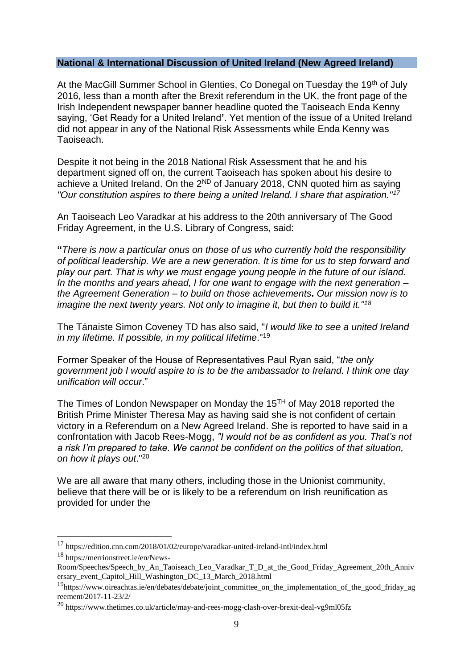#### **National & International Discussion of United Ireland (New Agreed Ireland)**

At the MacGill Summer School in Glenties, Co Donegal on Tuesday the 19th of July 2016, less than a month after the Brexit referendum in the UK, the front page of the Irish Independent newspaper banner headline quoted the Taoiseach Enda Kenny saying, 'Get Ready for a United Ireland**'**. Yet mention of the issue of a United Ireland did not appear in any of the National Risk Assessments while Enda Kenny was Taoiseach.

Despite it not being in the 2018 National Risk Assessment that he and his department signed off on, the current Taoiseach has spoken about his desire to achieve a United Ireland. On the  $2^{ND}$  of January 2018, CNN quoted him as saying *"Our constitution aspires to there being a united Ireland. I share that aspiration."<sup>17</sup>*

An Taoiseach Leo Varadkar at his address to the 20th anniversary of The Good Friday Agreement, in the U.S. Library of Congress, said:

**"***There is now a particular onus on those of us who currently hold the responsibility of political leadership. We are a new generation. It is time for us to step forward and play our part. That is why we must engage young people in the future of our island. In the months and years ahead, I for one want to engage with the next generation – the Agreement Generation – to build on those achievements***.** *Our mission now is to imagine the next twenty years. Not only to imagine it, but then to build it."<sup>18</sup>*

The Tánaiste Simon Coveney TD has also said, "*I would like to see a united Ireland in my lifetime. If possible, in my political Iifetime*."<sup>19</sup>

Former Speaker of the House of Representatives Paul Ryan said, "*the only government job I would aspire to is to be the ambassador to Ireland. I think one day unification will occur*."

The Times of London Newspaper on Monday the  $15<sup>TH</sup>$  of May 2018 reported the British Prime Minister Theresa May as having said she is not confident of certain victory in a Referendum on a New Agreed Ireland. She is reported to have said in a confrontation with Jacob Rees-Mogg, *"I would not be as confident as you. That's not a risk I'm prepared to take. We cannot be confident on the politics of that situation, on how it plays out*."<sup>20</sup>

We are all aware that many others, including those in the Unionist community, believe that there will be or is likely to be a referendum on Irish reunification as provided for under the

<sup>17</sup> https://edition.cnn.com/2018/01/02/europe/varadkar-united-ireland-intl/index.html <sup>18</sup> https://merrionstreet.ie/en/News-

Room/Speeches/Speech\_by\_An\_Taoiseach\_Leo\_Varadkar\_T\_D\_at\_the\_Good\_Friday\_Agreement\_20th\_Anniv ersary\_event\_Capitol\_Hill\_Washington\_DC\_13\_March\_2018.html

<sup>&</sup>lt;sup>19</sup>https://www.oireachtas.ie/en/debates/debate/joint\_committee\_on\_the\_implementation\_of\_the\_good\_friday\_ag reement/2017-11-23/2/

<sup>&</sup>lt;sup>20</sup> https://www.thetimes.co.uk/article/may-and-rees-mogg-clash-over-brexit-deal-vg9ml05fz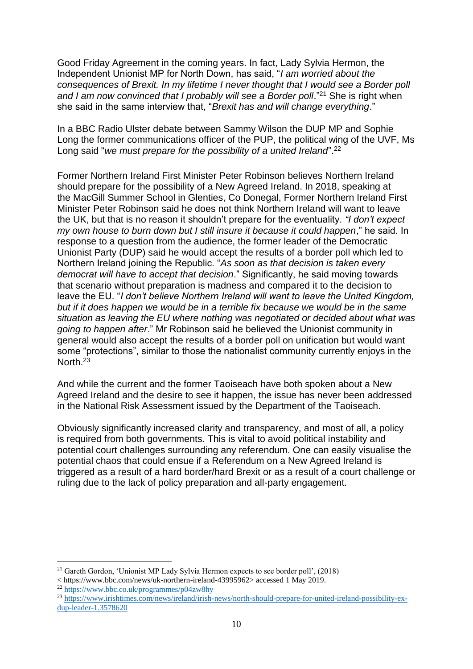Good Friday Agreement in the coming years. In fact, Lady Sylvia Hermon, the Independent Unionist MP for North Down, has said, "*I am worried about the consequences of Brexit. In my lifetime I never thought that I would see a Border poll*  and I am now convinced that I probably will see a Border poll."<sup>21</sup> She is right when she said in the same interview that, "*Brexit has and will change everything*."

In a BBC Radio Ulster debate between Sammy Wilson the DUP MP and Sophie Long the former communications officer of the PUP, the political wing of the UVF, Ms Long said "*we must prepare for the possibility of a united Ireland*".<sup>22</sup>

Former Northern Ireland First Minister Peter Robinson believes Northern Ireland should prepare for the possibility of a New Agreed Ireland. In 2018, speaking at the MacGill Summer School in Glenties, Co Donegal, Former Northern Ireland First Minister Peter Robinson said he does not think Northern Ireland will want to leave the UK, but that is no reason it shouldn't prepare for the eventuality. *"I don't expect my own house to burn down but I still insure it because it could happen*," he said. In response to a question from the audience, the former leader of the Democratic Unionist Party (DUP) said he would accept the results of a border poll which led to Northern Ireland joining the Republic. "*As soon as that decision is taken every democrat will have to accept that decision*." Significantly, he said moving towards that scenario without preparation is madness and compared it to the decision to leave the EU. "*I don't believe Northern Ireland will want to leave the United Kingdom, but if it does happen we would be in a terrible fix because we would be in the same situation as leaving the EU where nothing was negotiated or decided about what was going to happen after*." Mr Robinson said he believed the Unionist community in general would also accept the results of a border poll on unification but would want some "protections", similar to those the nationalist community currently enjoys in the North.<sup>23</sup>

And while the current and the former Taoiseach have both spoken about a New Agreed Ireland and the desire to see it happen, the issue has never been addressed in the National Risk Assessment issued by the Department of the Taoiseach.

Obviously significantly increased clarity and transparency, and most of all, a policy is required from both governments. This is vital to avoid political instability and potential court challenges surrounding any referendum. One can easily visualise the potential chaos that could ensue if a Referendum on a New Agreed Ireland is triggered as a result of a hard border/hard Brexit or as a result of a court challenge or ruling due to the lack of policy preparation and all-party engagement.

<sup>&</sup>lt;u>.</u> <sup>21</sup> Gareth Gordon, 'Unionist MP Lady Sylvia Hermon expects to see border poll', (2018)

<sup>&</sup>lt; https://www.bbc.com/news/uk-northern-ireland-43995962> accessed 1 May 2019.

<sup>22</sup> <https://www.bbc.co.uk/programmes/p04zw8hy>

<sup>23</sup> [https://www.irishtimes.com/news/ireland/irish-news/north-should-prepare-for-united-ireland-possibility-ex](https://www.irishtimes.com/news/ireland/irish-news/north-should-prepare-for-united-ireland-possibility-ex-dup-leader-1.3578620)[dup-leader-1.3578620](https://www.irishtimes.com/news/ireland/irish-news/north-should-prepare-for-united-ireland-possibility-ex-dup-leader-1.3578620)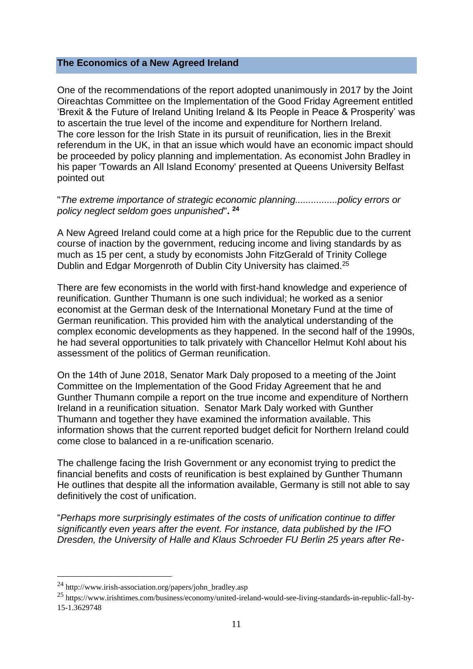#### **The Economics of a New Agreed Ireland**

One of the recommendations of the report adopted unanimously in 2017 by the Joint Oireachtas Committee on the Implementation of the Good Friday Agreement entitled 'Brexit & the Future of Ireland Uniting Ireland & Its People in Peace & Prosperity' was to ascertain the true level of the income and expenditure for Northern Ireland. The core lesson for the Irish State in its pursuit of reunification, lies in the Brexit referendum in the UK, in that an issue which would have an economic impact should be proceeded by policy planning and implementation. As economist John Bradley in his paper 'Towards an All Island Economy' presented at Queens University Belfast pointed out

"*The extreme importance of strategic economic planning................policy errors or policy neglect seldom goes unpunished*"**. 24**

A New Agreed Ireland could come at a high price for the Republic due to the current course of inaction by the government, reducing income and living standards by as much as 15 per cent, a study by economists John FitzGerald of Trinity College Dublin and [Edgar Morgenroth](https://www.irishtimes.com/topics/topics-7.1213540?article=true&tag_person=Edgar+Morgenroth) of Dublin City University has claimed.<sup>25</sup>

There are few economists in the world with first-hand knowledge and experience of reunification. Gunther Thumann is one such individual; he worked as a senior economist at the German desk of the International Monetary Fund at the time of German reunification. This provided him with the analytical understanding of the complex economic developments as they happened. In the second half of the 1990s, he had several opportunities to talk privately with Chancellor Helmut Kohl about his assessment of the politics of German reunification.

On the 14th of June 2018, Senator Mark Daly proposed to a meeting of the Joint Committee on the Implementation of the Good Friday Agreement that he and Gunther Thumann compile a report on the true income and expenditure of Northern Ireland in a reunification situation. Senator Mark Daly worked with Gunther Thumann and together they have examined the information available. This information shows that the current reported budget deficit for Northern Ireland could come close to balanced in a re-unification scenario.

The challenge facing the Irish Government or any economist trying to predict the financial benefits and costs of reunification is best explained by Gunther Thumann He outlines that despite all the information available, Germany is still not able to say definitively the cost of unification.

"*Perhaps more surprisingly estimates of the costs of unification continue to differ significantly even years after the event. For instance, data published by the IFO Dresden, the University of Halle and Klaus Schroeder FU Berlin 25 years after Re-*

<sup>24</sup> http://www.irish-association.org/papers/john\_bradley.asp

<sup>25</sup> https://www.irishtimes.com/business/economy/united-ireland-would-see-living-standards-in-republic-fall-by-15-1.3629748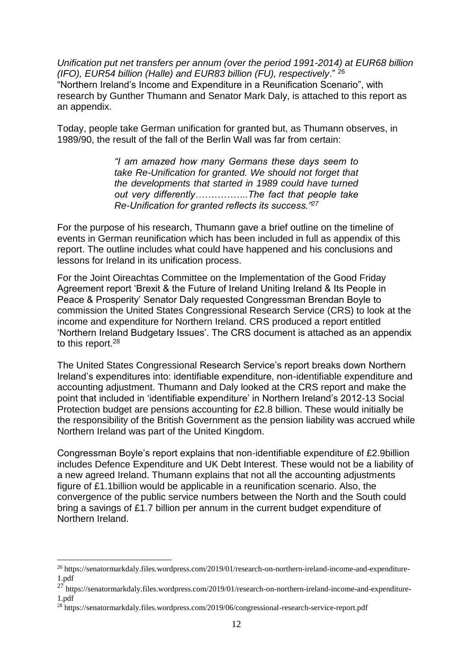*Unification put net transfers per annum (over the period 1991-2014) at EUR68 billion (IFO), EUR54 billion (Halle) and EUR83 billion (FU), respectively*." <sup>26</sup> "Northern Ireland's Income and Expenditure in a Reunification Scenario", with research by Gunther Thumann and Senator Mark Daly, is attached to this report as an appendix.

Today, people take German unification for granted but, as Thumann observes, in 1989/90, the result of the fall of the Berlin Wall was far from certain:

> *"I am amazed how many Germans these days seem to take Re-Unification for granted. We should not forget that the developments that started in 1989 could have turned out very differently……………..The fact that people take Re-Unification for granted reflects its success."<sup>27</sup>*

For the purpose of his research, Thumann gave a brief outline on the timeline of events in German reunification which has been included in full as appendix of this report. The outline includes what could have happened and his conclusions and lessons for Ireland in its unification process.

For the Joint Oireachtas Committee on the Implementation of the Good Friday Agreement report 'Brexit & the Future of Ireland Uniting Ireland & Its People in Peace & Prosperity' Senator Daly requested Congressman Brendan Boyle to commission the United States Congressional Research Service (CRS) to look at the income and expenditure for Northern Ireland. CRS produced a report entitled 'Northern Ireland Budgetary Issues'. The CRS document is attached as an appendix to this report.<sup>28</sup>

The United States Congressional Research Service's report breaks down Northern Ireland's expenditures into: identifiable expenditure, non-identifiable expenditure and accounting adjustment. Thumann and Daly looked at the CRS report and make the point that included in 'identifiable expenditure' in Northern Ireland's 2012-13 Social Protection budget are pensions accounting for £2.8 billion. These would initially be the responsibility of the British Government as the pension liability was accrued while Northern Ireland was part of the United Kingdom.

Congressman Boyle's report explains that non-identifiable expenditure of £2.9billion includes Defence Expenditure and UK Debt Interest. These would not be a liability of a new agreed Ireland. Thumann explains that not all the accounting adjustments figure of £1.1billion would be applicable in a reunification scenario. Also, the convergence of the public service numbers between the North and the South could bring a savings of £1.7 billion per annum in the current budget expenditure of Northern Ireland.

<sup>26</sup> https://senatormarkdaly.files.wordpress.com/2019/01/research-on-northern-ireland-income-and-expenditure-1.pdf

 $27$  https://senatormarkdaly.files.wordpress.com/2019/01/research-on-northern-ireland-income-and-expenditure-1.pdf

<sup>28</sup> https://senatormarkdaly.files.wordpress.com/2019/06/congressional-research-service-report.pdf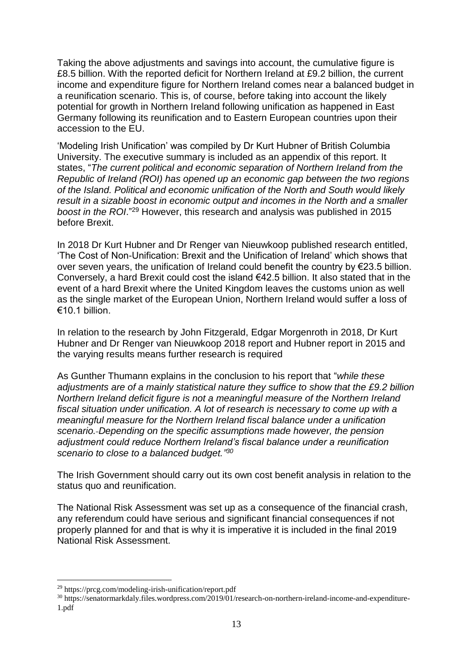Taking the above adjustments and savings into account, the cumulative figure is £8.5 billion. With the reported deficit for Northern Ireland at £9.2 billion, the current income and expenditure figure for Northern Ireland comes near a balanced budget in a reunification scenario. This is, of course, before taking into account the likely potential for growth in Northern Ireland following unification as happened in East Germany following its reunification and to Eastern European countries upon their accession to the EU.

'Modeling Irish Unification' was compiled by Dr Kurt Hubner of British Columbia University. The executive summary is included as an appendix of this report. It states, "*The current political and economic separation of Northern Ireland from the Republic of Ireland (ROI) has opened up an economic gap between the two regions of the Island. Political and economic unification of the North and South would likely result in a sizable boost in economic output and incomes in the North and a smaller boost in the ROI*." <sup>29</sup> However, this research and analysis was published in 2015 before Brexit.

In 2018 Dr Kurt Hubner and Dr Renger van Nieuwkoop published research entitled, 'The Cost of Non-Unification: Brexit and the Unification of Ireland' which shows that over seven years, the unification of [Ireland](https://www.irishtimes.com/news) could benefit the country by €23.5 billion. Conversely, a hard [Brexit](https://www.irishtimes.com/news/world/brexit) could cost the island €42.5 billion. It also stated that in the event of a hard Brexit where the [United Kingdom](https://www.irishtimes.com/topics/topics-7.1213540?article=true&tag_location=United+Kingdom) leaves the customs union as well as the single market of the [European Union,](https://www.irishtimes.com/topics/topics-7.1213540?article=true&tag_organisation=European+Union) [Northern Ireland](https://www.irishtimes.com/topics/topics-7.1213540?article=true&tag_location=Northern+Ireland) would suffer a loss of €10.1 billion.

In relation to the research by John Fitzgerald, [Edgar Morgenroth](https://www.irishtimes.com/topics/topics-7.1213540?article=true&tag_person=Edgar+Morgenroth) in 2018, Dr Kurt Hubner and Dr Renger van Nieuwkoop 2018 report and Hubner report in 2015 and the varying results means further research is required

As Gunther Thumann explains in the conclusion to his report that "*while these adjustments are of a mainly statistical nature they suffice to show that the £9.2 billion Northern Ireland deficit figure is not a meaningful measure of the Northern Ireland fiscal situation under unification. A lot of research is necessary to come up with a meaningful measure for the Northern Ireland fiscal balance under a unification scenario. Depending on the specific assumptions made however, the pension adjustment could reduce Northern Ireland's fiscal balance under a reunification scenario to close to a balanced budget." 30*

The Irish Government should carry out its own cost benefit analysis in relation to the status quo and reunification.

The National Risk Assessment was set up as a consequence of the financial crash, any referendum could have serious and significant financial consequences if not properly planned for and that is why it is imperative it is included in the final 2019 National Risk Assessment.

1

<sup>29</sup> https://prcg.com/modeling-irish-unification/report.pdf

<sup>30</sup> https://senatormarkdaly.files.wordpress.com/2019/01/research-on-northern-ireland-income-and-expenditure-1.pdf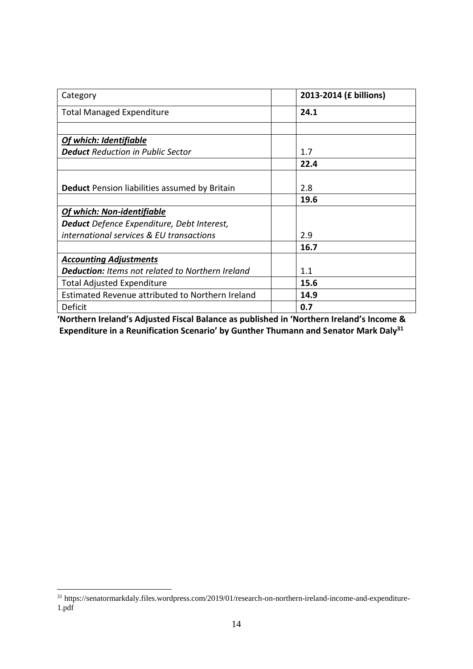| Category                                                | 2013-2014 (£ billions) |
|---------------------------------------------------------|------------------------|
| <b>Total Managed Expenditure</b>                        | 24.1                   |
|                                                         |                        |
| <b>Of which: Identifiable</b>                           |                        |
| <b>Deduct</b> Reduction in Public Sector                | 1.7                    |
|                                                         | 22.4                   |
|                                                         |                        |
| <b>Deduct</b> Pension liabilities assumed by Britain    | 2.8                    |
|                                                         | 19.6                   |
| Of which: Non-identifiable                              |                        |
| Deduct Defence Expenditure, Debt Interest,              |                        |
| international services & EU transactions                | 2.9                    |
|                                                         | 16.7                   |
| <b>Accounting Adjustments</b>                           |                        |
| <b>Deduction:</b> Items not related to Northern Ireland | 1.1                    |
| <b>Total Adjusted Expenditure</b>                       | 15.6                   |
| Estimated Revenue attributed to Northern Ireland        | 14.9                   |
| Deficit                                                 | 0.7                    |

**'Northern Ireland's Adjusted Fiscal Balance as published in 'Northern Ireland's Income & Expenditure in a Reunification Scenario' by Gunther Thumann and Senator Mark Daly<sup>31</sup>**

<sup>31</sup> https://senatormarkdaly.files.wordpress.com/2019/01/research-on-northern-ireland-income-and-expenditure-1.pdf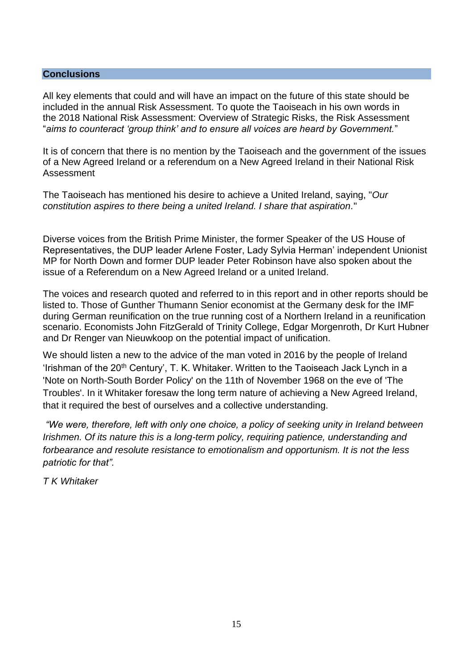#### **Conclusions**

All key elements that could and will have an impact on the future of this state should be included in the annual Risk Assessment. To quote the Taoiseach in his own words in the 2018 National Risk Assessment: Overview of Strategic Risks, the Risk Assessment "*aims to counteract 'group think' and to ensure all voices are heard by Government.*"

It is of concern that there is no mention by the Taoiseach and the government of the issues of a New Agreed Ireland or a referendum on a New Agreed Ireland in their National Risk Assessment

The Taoiseach has mentioned his desire to achieve a United Ireland, saying, "*Our constitution aspires to there being a united Ireland. I share that aspiration.*"

Diverse voices from the British Prime Minister, the former Speaker of the US House of Representatives, the DUP leader Arlene Foster, Lady Sylvia Herman' independent Unionist MP for North Down and former DUP leader Peter Robinson have also spoken about the issue of a Referendum on a New Agreed Ireland or a united Ireland.

The voices and research quoted and referred to in this report and in other reports should be listed to. Those of Gunther Thumann Senior economist at the Germany desk for the IMF during German reunification on the true running cost of a Northern Ireland in a reunification scenario. Economists John FitzGerald of Trinity College, [Edgar Morgenroth,](https://www.irishtimes.com/topics/topics-7.1213540?article=true&tag_person=Edgar+Morgenroth) Dr Kurt Hubner and Dr Renger van Nieuwkoop on the potential impact of unification.

We should listen a new to the advice of the man voted in 2016 by the people of Ireland 'Irishman of the 20<sup>th</sup> Century', T. K. Whitaker. Written to the Taoiseach Jack Lynch in a 'Note on North-South Border Policy' on the 11th of November 1968 on the eve of 'The Troubles'. In it Whitaker foresaw the long term nature of achieving a New Agreed Ireland, that it required the best of ourselves and a collective understanding.

*"We were, therefore, left with only one choice, a policy of seeking unity in Ireland between Irishmen. Of its nature this is a long-term policy, requiring patience, understanding and forbearance and resolute resistance to emotionalism and opportunism. It is not the less patriotic for that".* 

*T K Whitaker*